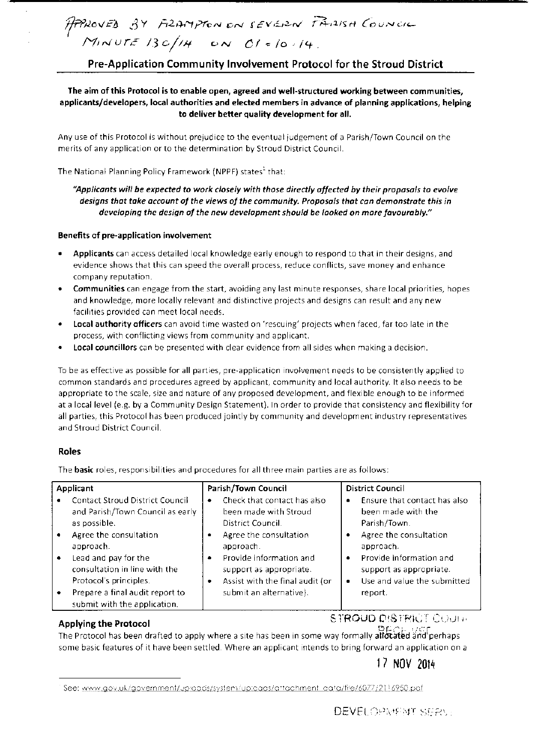## Pre-Application Community Involvement Protocol for the Stroud District

The aim of this Protocol is to enable open, agreed and well-structured working between communities, applicants/developers, local authorities and elected members in advance of planning applications, helping to deliver better quality development for all.

Any use of this Protocol is without prejudice to the eventual judgement of a Parish/Town Council on the merits of any application or to the determination by Stroud District Council.

The National Planning Policy Framework (NPPF) states<sup>1</sup> that:

## *"Applicants will be expected* to *work closely with those directly affected by their proposals to evolve designs that take account of the views of the community. Proposals that can demonstrate this in developing the design of the new development should be looked on more favourably."*

### Benefits of pre-application involvement

- Applicants can access detailed local knowledge early enough to respond to that in their designs, and evidence shows that this can speed the overall process, reduce conflicts, save money and enhance company reputation.
- Communities can engage from the start, avoiding any last minute responses, share local priorities, hopes and knowledge, more locally relevant and distinctive projects and designs can result and any new facilities provided can meet local needs.
- Local authority officers can avoid time wasted on 'rescuing' projects when faced, far too late in the process, with conflicting views from community and applicant.
- local councillors can be presented with clear evidence from all sides when making a decision.

To be as effective as possible for all parties, pre-application mvolvement needs to be consistently applied to common standards and procedures agreed by applicant, community and local authority. It also needs to be appropriate to the scale, size and nature of any proposed development, and flexible enough to be informed at a local level (e.g. by a Community Design Statement}. In order to provide that consistency and flexibility for all parties, this Protocol has been produced jointly by community and development industry representatives and Stroud District Council

## Roles

The basic roles, responsibilities and procedures for all three main parties are as follows:

| Applicant |                                                                                 | Parish/Town Council                                                                             | <b>District Council</b>                                                                     |
|-----------|---------------------------------------------------------------------------------|-------------------------------------------------------------------------------------------------|---------------------------------------------------------------------------------------------|
|           | <b>Contact Stroud District Council</b><br>and Parish/Town Council as early      | Check that contact has also<br>٠<br>been made with Stroud                                       | Ensure that contact has also<br>٠<br>been made with the                                     |
|           | as possible.<br>Agree the consultation<br>approach.                             | District Council.<br>Agree the consultation<br>approach.                                        | Parish/Town.<br>Agree the consultation<br>approach.                                         |
|           | Lead and pay for the<br>consultation in line with the<br>Protocol's principles. | Provide information and<br>٠<br>support as appropriate.<br>Assist with the final audit (or<br>٠ | Provide information and<br>٠<br>support as appropriate.<br>Use and value the submitted<br>٠ |
|           | Prepare a final audit report to<br>submit with the application.                 | submit an alternative).                                                                         | report.                                                                                     |

.<br>. Applying the Protocol  $\mathcal{S}$  in the second second  $\mathcal{S}$  in the  $\mathcal{S}$  in the  $\mathcal{S}$  in the  $\mathcal{S}$  in the  $\mathcal{S}$ 

The Protocol has been drafted to apply where a site has been in some way formally allocated and perhaps some basic features of it have been settled. Where an applicant intends to bring forward an application on a

# I *7* NOV 2014

See: www.gov.uk/government/uproads/system/uproads/artachment\_cata/fire/6077/2116950.pdf